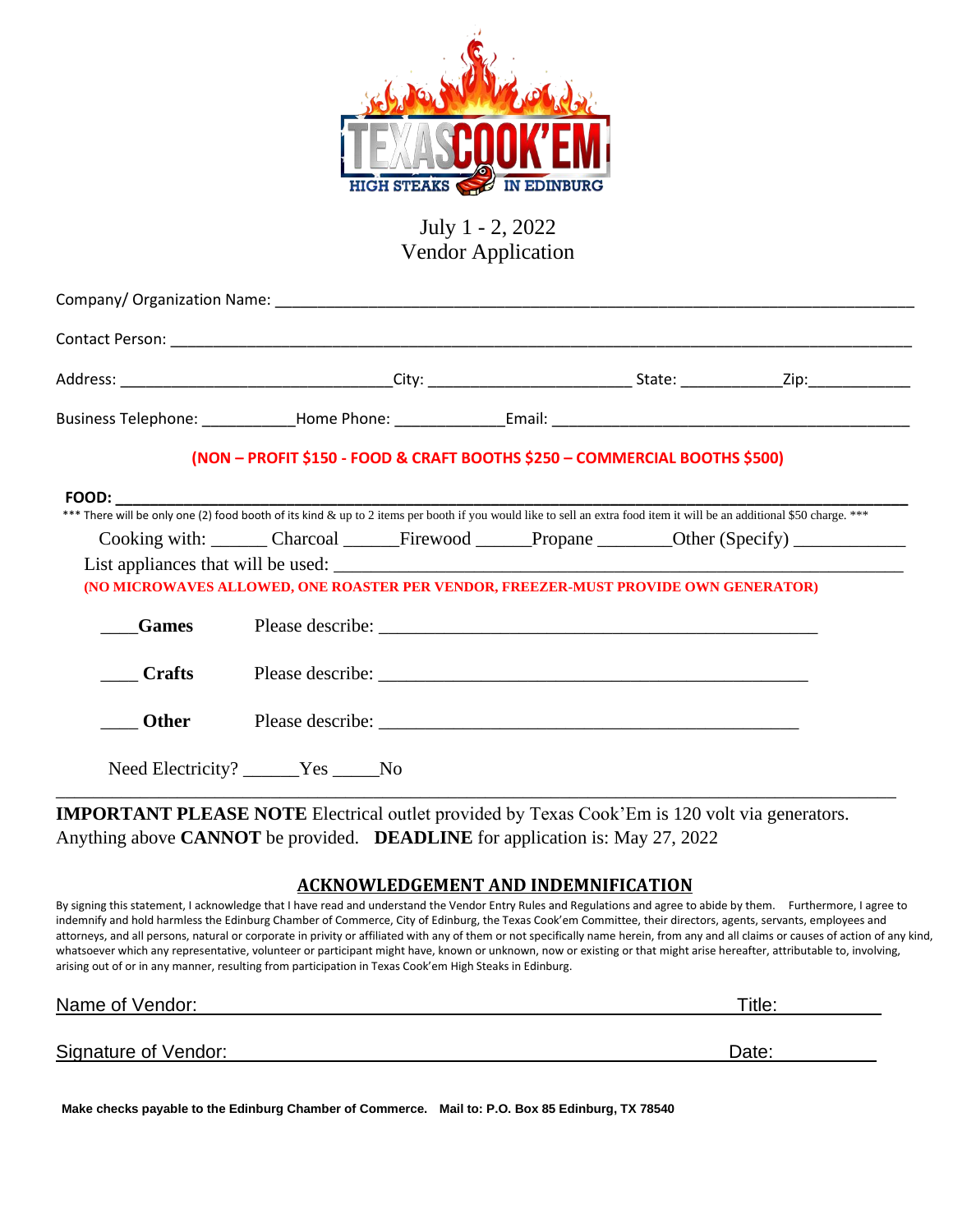

## July 1 - 2, 2022 Vendor Application

|               | (NON - PROFIT \$150 - FOOD & CRAFT BOOTHS \$250 - COMMERCIAL BOOTHS \$500)                                                |  |  |  |  |
|---------------|---------------------------------------------------------------------------------------------------------------------------|--|--|--|--|
|               |                                                                                                                           |  |  |  |  |
|               | Cooking with: Charcoal Firewood Propane Other (Specify)                                                                   |  |  |  |  |
|               | List appliances that will be used:<br>(NO MICROWAVES ALLOWED, ONE ROASTER PER VENDOR, FREEZER-MUST PROVIDE OWN GENERATOR) |  |  |  |  |
| <b>Games</b>  |                                                                                                                           |  |  |  |  |
| <b>Crafts</b> |                                                                                                                           |  |  |  |  |
| <b>Other</b>  |                                                                                                                           |  |  |  |  |
|               | Need Electricity? Nes No                                                                                                  |  |  |  |  |
|               |                                                                                                                           |  |  |  |  |

**IMPORTANT PLEASE NOTE** Electrical outlet provided by Texas Cook'Em is 120 volt via generators. Anything above **CANNOT** be provided. **DEADLINE** for application is: May 27, 2022

## **ACKNOWLEDGEMENT AND INDEMNIFICATION**

By signing this statement, I acknowledge that I have read and understand the Vendor Entry Rules and Regulations and agree to abide by them. Furthermore, I agree to indemnify and hold harmless the Edinburg Chamber of Commerce, City of Edinburg, the Texas Cook'em Committee, their directors, agents, servants, employees and attorneys, and all persons, natural or corporate in privity or affiliated with any of them or not specifically name herein, from any and all claims or causes of action of any kind, whatsoever which any representative, volunteer or participant might have, known or unknown, now or existing or that might arise hereafter, attributable to, involving, arising out of or in any manner, resulting from participation in Texas Cook'em High Steaks in Edinburg.

Name of Vendor:\_\_ Title:\_\_\_\_\_\_\_\_\_\_

Signature of Vendor: Date:

**Make checks payable to the Edinburg Chamber of Commerce. Mail to: P.O. Box 85 Edinburg, TX 78540**